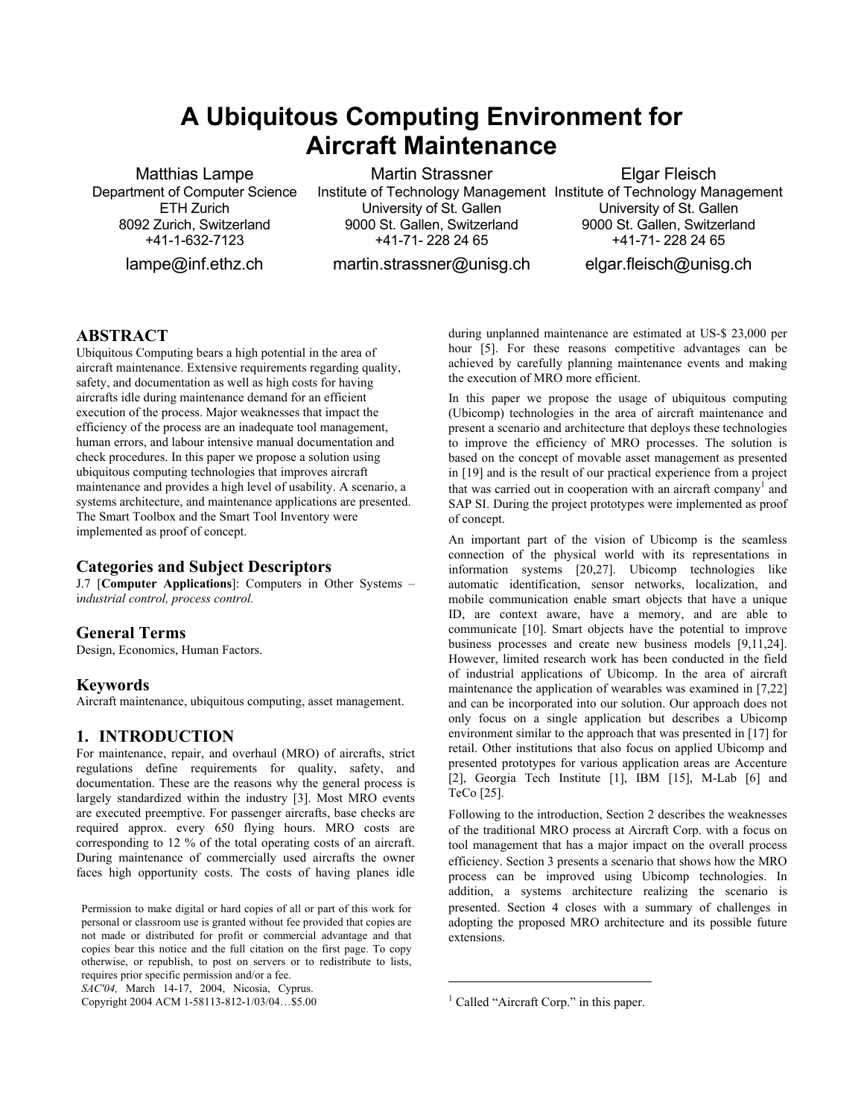# **A Ubiquitous Computing Environment for Aircraft Maintenance**

Matthias Lampe Department of Computer Science ETH Zurich 8092 Zurich, Switzerland +41-1-632-7123

lampe@inf.ethz.ch

Martin Strassner Institute of Technology Management Institute of Technology Management University of St. Gallen 9000 St. Gallen, Switzerland +41-71- 228 24 65

martin.strassner@unisg.ch

Elgar Fleisch University of St. Gallen 9000 St. Gallen, Switzerland +41-71- 228 24 65

elgar.fleisch@unisg.ch

# **ABSTRACT**

Ubiquitous Computing bears a high potential in the area of aircraft maintenance. Extensive requirements regarding quality, safety, and documentation as well as high costs for having aircrafts idle during maintenance demand for an efficient execution of the process. Major weaknesses that impact the efficiency of the process are an inadequate tool management, human errors, and labour intensive manual documentation and check procedures. In this paper we propose a solution using ubiquitous computing technologies that improves aircraft maintenance and provides a high level of usability. A scenario, a systems architecture, and maintenance applications are presented. The Smart Toolbox and the Smart Tool Inventory were implemented as proof of concept.

# **Categories and Subject Descriptors**

J.7 [**Computer Applications**]: Computers in Other Systems – i*ndustrial control, process control.* 

# **General Terms**

Design, Economics, Human Factors.

# **Keywords**

Aircraft maintenance, ubiquitous computing, asset management.

# **1. INTRODUCTION**

For maintenance, repair, and overhaul (MRO) of aircrafts, strict regulations define requirements for quality, safety, and documentation. These are the reasons why the general process is largely standardized within the industry [3]. Most MRO events are executed preemptive. For passenger aircrafts, base checks are required approx. every 650 flying hours. MRO costs are corresponding to 12 % of the total operating costs of an aircraft. During maintenance of commercially used aircrafts the owner faces high opportunity costs. The costs of having planes idle

*SAC'04,* March 14-17, 2004, Nicosia, Cyprus.

Copyright 2004 ACM 1-58113-812-1/03/04…\$5.00

during unplanned maintenance are estimated at US-\$ 23,000 per hour [5]. For these reasons competitive advantages can be achieved by carefully planning maintenance events and making the execution of MRO more efficient.

In this paper we propose the usage of ubiquitous computing (Ubicomp) technologies in the area of aircraft maintenance and present a scenario and architecture that deploys these technologies to improve the efficiency of MRO processes. The solution is based on the concept of movable asset management as presented in [19] and is the result of our practical experience from a project that was carried out in cooperation with an aircraft company<sup>1</sup> and SAP SI. During the project prototypes were implemented as proof of concept.

An important part of the vision of Ubicomp is the seamless connection of the physical world with its representations in information systems [20,27]. Ubicomp technologies like automatic identification, sensor networks, localization, and mobile communication enable smart objects that have a unique ID, are context aware, have a memory, and are able to communicate [10]. Smart objects have the potential to improve business processes and create new business models [9,11,24]. However, limited research work has been conducted in the field of industrial applications of Ubicomp. In the area of aircraft maintenance the application of wearables was examined in [7,22] and can be incorporated into our solution. Our approach does not only focus on a single application but describes a Ubicomp environment similar to the approach that was presented in [17] for retail. Other institutions that also focus on applied Ubicomp and presented prototypes for various application areas are Accenture [2], Georgia Tech Institute [1], IBM [15], M-Lab [6] and TeCo [25].

Following to the introduction, Section 2 describes the weaknesses of the traditional MRO process at Aircraft Corp. with a focus on tool management that has a major impact on the overall process efficiency. Section 3 presents a scenario that shows how the MRO process can be improved using Ubicomp technologies. In addition, a systems architecture realizing the scenario is presented. Section 4 closes with a summary of challenges in adopting the proposed MRO architecture and its possible future extensions.

<sup>1</sup> Called "Aircraft Corp." in this paper.

1

Permission to make digital or hard copies of all or part of this work for personal or classroom use is granted without fee provided that copies are not made or distributed for profit or commercial advantage and that copies bear this notice and the full citation on the first page. To copy otherwise, or republish, to post on servers or to redistribute to lists, requires prior specific permission and/or a fee.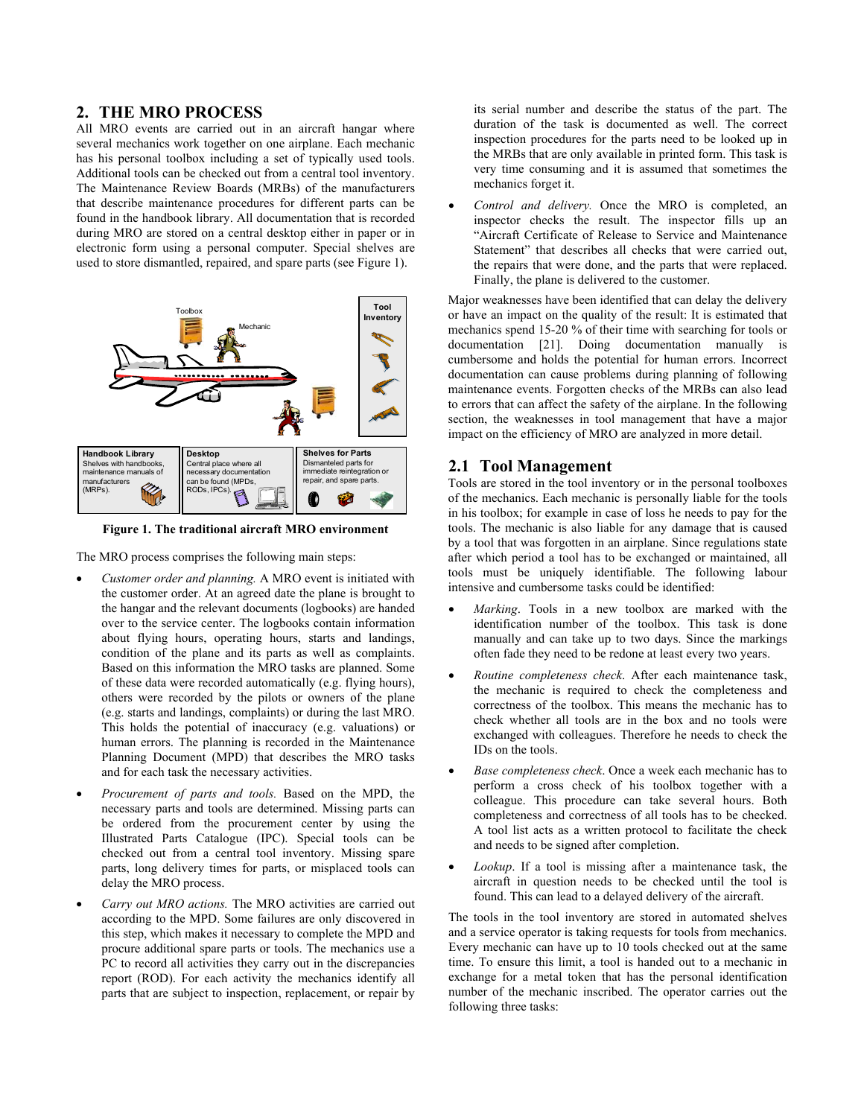# **2. THE MRO PROCESS**

All MRO events are carried out in an aircraft hangar where several mechanics work together on one airplane. Each mechanic has his personal toolbox including a set of typically used tools. Additional tools can be checked out from a central tool inventory. The Maintenance Review Boards (MRBs) of the manufacturers that describe maintenance procedures for different parts can be found in the handbook library. All documentation that is recorded during MRO are stored on a central desktop either in paper or in electronic form using a personal computer. Special shelves are used to store dismantled, repaired, and spare parts (see Figure 1).



**Figure 1. The traditional aircraft MRO environment** 

The MRO process comprises the following main steps:

- *Customer order and planning.* A MRO event is initiated with the customer order. At an agreed date the plane is brought to the hangar and the relevant documents (logbooks) are handed over to the service center. The logbooks contain information about flying hours, operating hours, starts and landings, condition of the plane and its parts as well as complaints. Based on this information the MRO tasks are planned. Some of these data were recorded automatically (e.g. flying hours), others were recorded by the pilots or owners of the plane (e.g. starts and landings, complaints) or during the last MRO. This holds the potential of inaccuracy (e.g. valuations) or human errors. The planning is recorded in the Maintenance Planning Document (MPD) that describes the MRO tasks and for each task the necessary activities.
- *Procurement of parts and tools.* Based on the MPD, the necessary parts and tools are determined. Missing parts can be ordered from the procurement center by using the Illustrated Parts Catalogue (IPC). Special tools can be checked out from a central tool inventory. Missing spare parts, long delivery times for parts, or misplaced tools can delay the MRO process.
- *Carry out MRO actions.* The MRO activities are carried out according to the MPD. Some failures are only discovered in this step, which makes it necessary to complete the MPD and procure additional spare parts or tools. The mechanics use a PC to record all activities they carry out in the discrepancies report (ROD). For each activity the mechanics identify all parts that are subject to inspection, replacement, or repair by

its serial number and describe the status of the part. The duration of the task is documented as well. The correct inspection procedures for the parts need to be looked up in the MRBs that are only available in printed form. This task is very time consuming and it is assumed that sometimes the mechanics forget it.

• *Control and delivery.* Once the MRO is completed, an inspector checks the result. The inspector fills up an "Aircraft Certificate of Release to Service and Maintenance Statement" that describes all checks that were carried out, the repairs that were done, and the parts that were replaced. Finally, the plane is delivered to the customer.

Major weaknesses have been identified that can delay the delivery or have an impact on the quality of the result: It is estimated that mechanics spend 15-20 % of their time with searching for tools or documentation [21]. Doing documentation manually is cumbersome and holds the potential for human errors. Incorrect documentation can cause problems during planning of following maintenance events. Forgotten checks of the MRBs can also lead to errors that can affect the safety of the airplane. In the following section, the weaknesses in tool management that have a major impact on the efficiency of MRO are analyzed in more detail.

# **2.1 Tool Management**

Tools are stored in the tool inventory or in the personal toolboxes of the mechanics. Each mechanic is personally liable for the tools in his toolbox; for example in case of loss he needs to pay for the tools. The mechanic is also liable for any damage that is caused by a tool that was forgotten in an airplane. Since regulations state after which period a tool has to be exchanged or maintained, all tools must be uniquely identifiable. The following labour intensive and cumbersome tasks could be identified:

- *Marking*. Tools in a new toolbox are marked with the identification number of the toolbox. This task is done manually and can take up to two days. Since the markings often fade they need to be redone at least every two years.
- *Routine completeness check*. After each maintenance task, the mechanic is required to check the completeness and correctness of the toolbox. This means the mechanic has to check whether all tools are in the box and no tools were exchanged with colleagues. Therefore he needs to check the IDs on the tools.
- *Base completeness check*. Once a week each mechanic has to perform a cross check of his toolbox together with a colleague. This procedure can take several hours. Both completeness and correctness of all tools has to be checked. A tool list acts as a written protocol to facilitate the check and needs to be signed after completion.
- *Lookup*. If a tool is missing after a maintenance task, the aircraft in question needs to be checked until the tool is found. This can lead to a delayed delivery of the aircraft.

The tools in the tool inventory are stored in automated shelves and a service operator is taking requests for tools from mechanics. Every mechanic can have up to 10 tools checked out at the same time. To ensure this limit, a tool is handed out to a mechanic in exchange for a metal token that has the personal identification number of the mechanic inscribed. The operator carries out the following three tasks: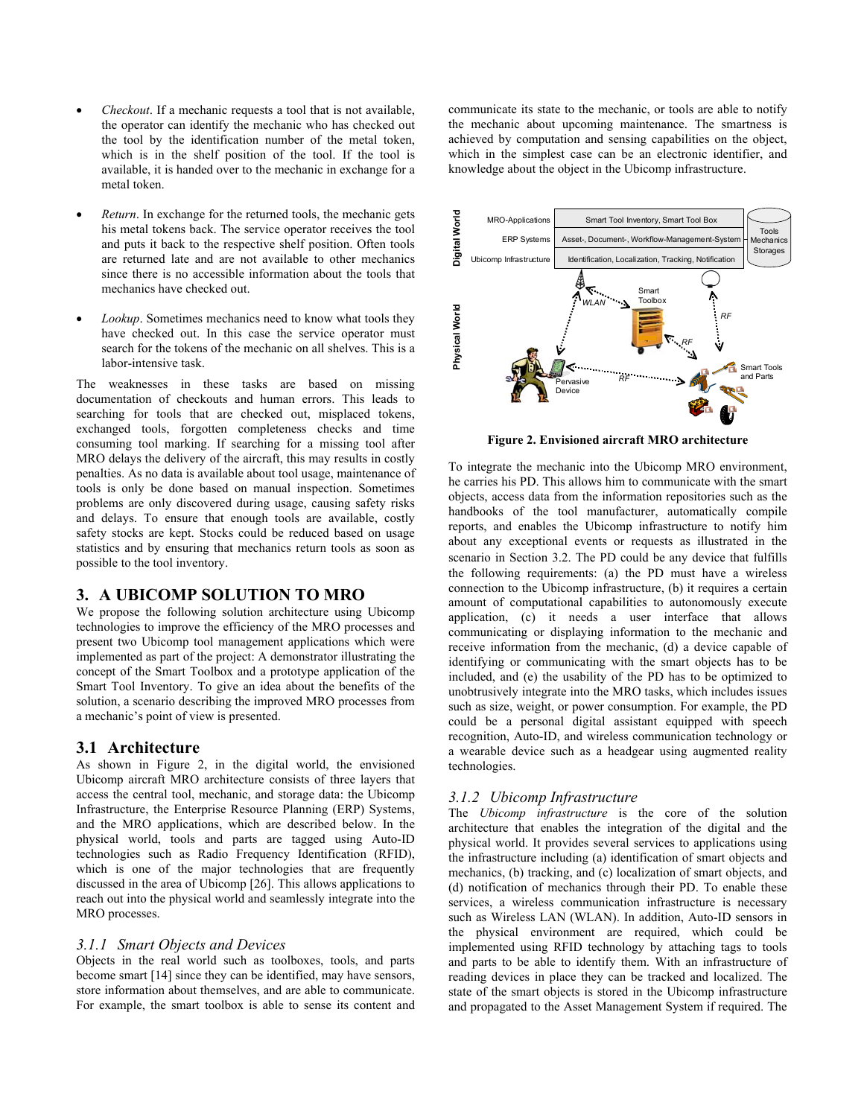- *Checkout*. If a mechanic requests a tool that is not available, the operator can identify the mechanic who has checked out the tool by the identification number of the metal token, which is in the shelf position of the tool. If the tool is available, it is handed over to the mechanic in exchange for a metal token.
- *Return*. In exchange for the returned tools, the mechanic gets his metal tokens back. The service operator receives the tool and puts it back to the respective shelf position. Often tools are returned late and are not available to other mechanics since there is no accessible information about the tools that mechanics have checked out.
- *Lookup*. Sometimes mechanics need to know what tools they have checked out. In this case the service operator must search for the tokens of the mechanic on all shelves. This is a labor-intensive task.

The weaknesses in these tasks are based on missing documentation of checkouts and human errors. This leads to searching for tools that are checked out, misplaced tokens, exchanged tools, forgotten completeness checks and time consuming tool marking. If searching for a missing tool after MRO delays the delivery of the aircraft, this may results in costly penalties. As no data is available about tool usage, maintenance of tools is only be done based on manual inspection. Sometimes problems are only discovered during usage, causing safety risks and delays. To ensure that enough tools are available, costly safety stocks are kept. Stocks could be reduced based on usage statistics and by ensuring that mechanics return tools as soon as possible to the tool inventory.

#### **3. A UBICOMP SOLUTION TO MRO**

We propose the following solution architecture using Ubicomp technologies to improve the efficiency of the MRO processes and present two Ubicomp tool management applications which were implemented as part of the project: A demonstrator illustrating the concept of the Smart Toolbox and a prototype application of the Smart Tool Inventory. To give an idea about the benefits of the solution, a scenario describing the improved MRO processes from a mechanic's point of view is presented.

#### **3.1 Architecture**

As shown in Figure 2, in the digital world, the envisioned Ubicomp aircraft MRO architecture consists of three layers that access the central tool, mechanic, and storage data: the Ubicomp Infrastructure, the Enterprise Resource Planning (ERP) Systems, and the MRO applications, which are described below. In the physical world, tools and parts are tagged using Auto-ID technologies such as Radio Frequency Identification (RFID), which is one of the major technologies that are frequently discussed in the area of Ubicomp [26]. This allows applications to reach out into the physical world and seamlessly integrate into the MRO processes.

#### *3.1.1 Smart Objects and Devices*

Objects in the real world such as toolboxes, tools, and parts become smart [14] since they can be identified, may have sensors, store information about themselves, and are able to communicate. For example, the smart toolbox is able to sense its content and communicate its state to the mechanic, or tools are able to notify the mechanic about upcoming maintenance. The smartness is achieved by computation and sensing capabilities on the object, which in the simplest case can be an electronic identifier, and knowledge about the object in the Ubicomp infrastructure.



**Figure 2. Envisioned aircraft MRO architecture** 

To integrate the mechanic into the Ubicomp MRO environment, he carries his PD. This allows him to communicate with the smart objects, access data from the information repositories such as the handbooks of the tool manufacturer, automatically compile reports, and enables the Ubicomp infrastructure to notify him about any exceptional events or requests as illustrated in the scenario in Section 3.2. The PD could be any device that fulfills the following requirements: (a) the PD must have a wireless connection to the Ubicomp infrastructure, (b) it requires a certain amount of computational capabilities to autonomously execute application, (c) it needs a user interface that allows communicating or displaying information to the mechanic and receive information from the mechanic, (d) a device capable of identifying or communicating with the smart objects has to be included, and (e) the usability of the PD has to be optimized to unobtrusively integrate into the MRO tasks, which includes issues such as size, weight, or power consumption. For example, the PD could be a personal digital assistant equipped with speech recognition, Auto-ID, and wireless communication technology or a wearable device such as a headgear using augmented reality technologies.

#### *3.1.2 Ubicomp Infrastructure*

The *Ubicomp infrastructure* is the core of the solution architecture that enables the integration of the digital and the physical world. It provides several services to applications using the infrastructure including (a) identification of smart objects and mechanics, (b) tracking, and (c) localization of smart objects, and (d) notification of mechanics through their PD. To enable these services, a wireless communication infrastructure is necessary such as Wireless LAN (WLAN). In addition, Auto-ID sensors in the physical environment are required, which could be implemented using RFID technology by attaching tags to tools and parts to be able to identify them. With an infrastructure of reading devices in place they can be tracked and localized. The state of the smart objects is stored in the Ubicomp infrastructure and propagated to the Asset Management System if required. The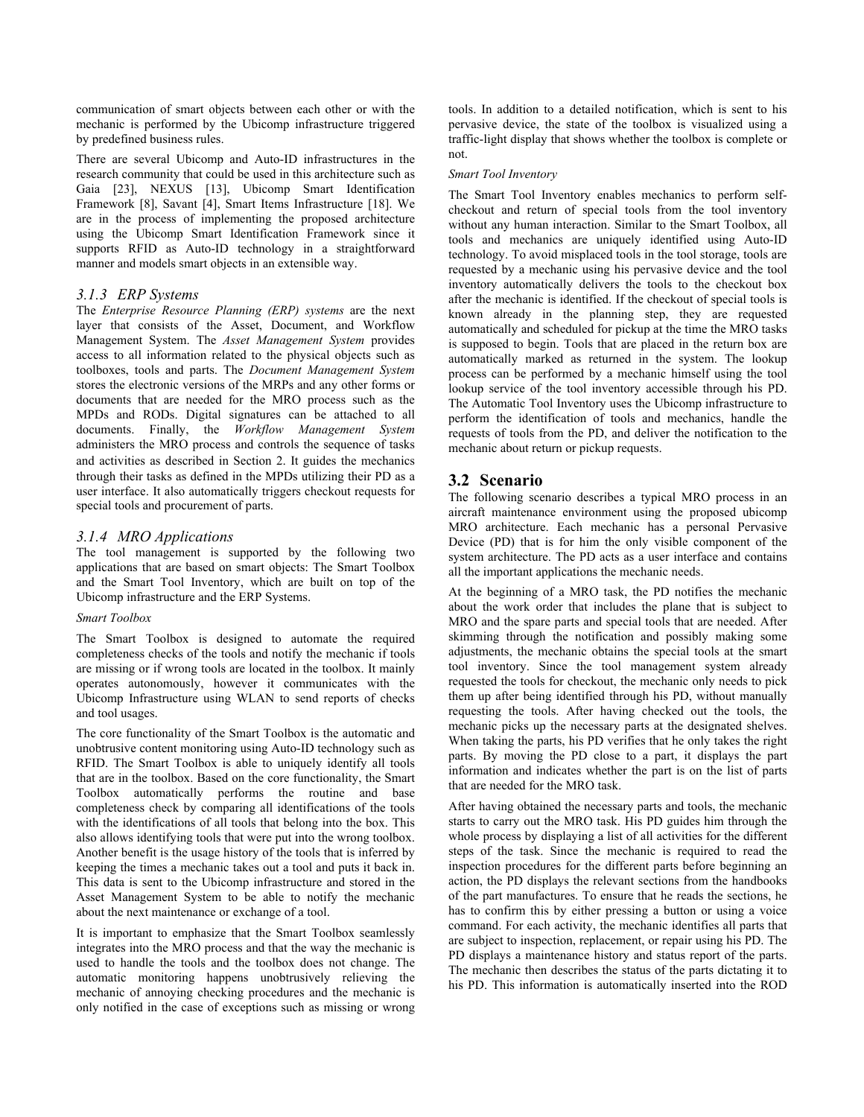communication of smart objects between each other or with the mechanic is performed by the Ubicomp infrastructure triggered by predefined business rules.

There are several Ubicomp and Auto-ID infrastructures in the research community that could be used in this architecture such as Gaia [23], NEXUS [13], Ubicomp Smart Identification Framework [8], Savant [4], Smart Items Infrastructure [18]. We are in the process of implementing the proposed architecture using the Ubicomp Smart Identification Framework since it supports RFID as Auto-ID technology in a straightforward manner and models smart objects in an extensible way.

#### *3.1.3 ERP Systems*

The *Enterprise Resource Planning (ERP) systems* are the next layer that consists of the Asset, Document, and Workflow Management System. The *Asset Management System* provides access to all information related to the physical objects such as toolboxes, tools and parts. The *Document Management System*  stores the electronic versions of the MRPs and any other forms or documents that are needed for the MRO process such as the MPDs and RODs. Digital signatures can be attached to all documents. Finally, the *Workflow Management System* administers the MRO process and controls the sequence of tasks and activities as described in Section 2. It guides the mechanics through their tasks as defined in the MPDs utilizing their PD as a user interface. It also automatically triggers checkout requests for special tools and procurement of parts.

# *3.1.4 MRO Applications*

The tool management is supported by the following two applications that are based on smart objects: The Smart Toolbox and the Smart Tool Inventory, which are built on top of the Ubicomp infrastructure and the ERP Systems.

#### *Smart Toolbox*

The Smart Toolbox is designed to automate the required completeness checks of the tools and notify the mechanic if tools are missing or if wrong tools are located in the toolbox. It mainly operates autonomously, however it communicates with the Ubicomp Infrastructure using WLAN to send reports of checks and tool usages.

The core functionality of the Smart Toolbox is the automatic and unobtrusive content monitoring using Auto-ID technology such as RFID. The Smart Toolbox is able to uniquely identify all tools that are in the toolbox. Based on the core functionality, the Smart Toolbox automatically performs the routine and base completeness check by comparing all identifications of the tools with the identifications of all tools that belong into the box. This also allows identifying tools that were put into the wrong toolbox. Another benefit is the usage history of the tools that is inferred by keeping the times a mechanic takes out a tool and puts it back in. This data is sent to the Ubicomp infrastructure and stored in the Asset Management System to be able to notify the mechanic about the next maintenance or exchange of a tool.

It is important to emphasize that the Smart Toolbox seamlessly integrates into the MRO process and that the way the mechanic is used to handle the tools and the toolbox does not change. The automatic monitoring happens unobtrusively relieving the mechanic of annoying checking procedures and the mechanic is only notified in the case of exceptions such as missing or wrong tools. In addition to a detailed notification, which is sent to his pervasive device, the state of the toolbox is visualized using a traffic-light display that shows whether the toolbox is complete or not.

#### *Smart Tool Inventory*

The Smart Tool Inventory enables mechanics to perform selfcheckout and return of special tools from the tool inventory without any human interaction. Similar to the Smart Toolbox, all tools and mechanics are uniquely identified using Auto-ID technology. To avoid misplaced tools in the tool storage, tools are requested by a mechanic using his pervasive device and the tool inventory automatically delivers the tools to the checkout box after the mechanic is identified. If the checkout of special tools is known already in the planning step, they are requested automatically and scheduled for pickup at the time the MRO tasks is supposed to begin. Tools that are placed in the return box are automatically marked as returned in the system. The lookup process can be performed by a mechanic himself using the tool lookup service of the tool inventory accessible through his PD. The Automatic Tool Inventory uses the Ubicomp infrastructure to perform the identification of tools and mechanics, handle the requests of tools from the PD, and deliver the notification to the mechanic about return or pickup requests.

# **3.2 Scenario**

The following scenario describes a typical MRO process in an aircraft maintenance environment using the proposed ubicomp MRO architecture. Each mechanic has a personal Pervasive Device (PD) that is for him the only visible component of the system architecture. The PD acts as a user interface and contains all the important applications the mechanic needs.

At the beginning of a MRO task, the PD notifies the mechanic about the work order that includes the plane that is subject to MRO and the spare parts and special tools that are needed. After skimming through the notification and possibly making some adjustments, the mechanic obtains the special tools at the smart tool inventory. Since the tool management system already requested the tools for checkout, the mechanic only needs to pick them up after being identified through his PD, without manually requesting the tools. After having checked out the tools, the mechanic picks up the necessary parts at the designated shelves. When taking the parts, his PD verifies that he only takes the right parts. By moving the PD close to a part, it displays the part information and indicates whether the part is on the list of parts that are needed for the MRO task.

After having obtained the necessary parts and tools, the mechanic starts to carry out the MRO task. His PD guides him through the whole process by displaying a list of all activities for the different steps of the task. Since the mechanic is required to read the inspection procedures for the different parts before beginning an action, the PD displays the relevant sections from the handbooks of the part manufactures. To ensure that he reads the sections, he has to confirm this by either pressing a button or using a voice command. For each activity, the mechanic identifies all parts that are subject to inspection, replacement, or repair using his PD. The PD displays a maintenance history and status report of the parts. The mechanic then describes the status of the parts dictating it to his PD. This information is automatically inserted into the ROD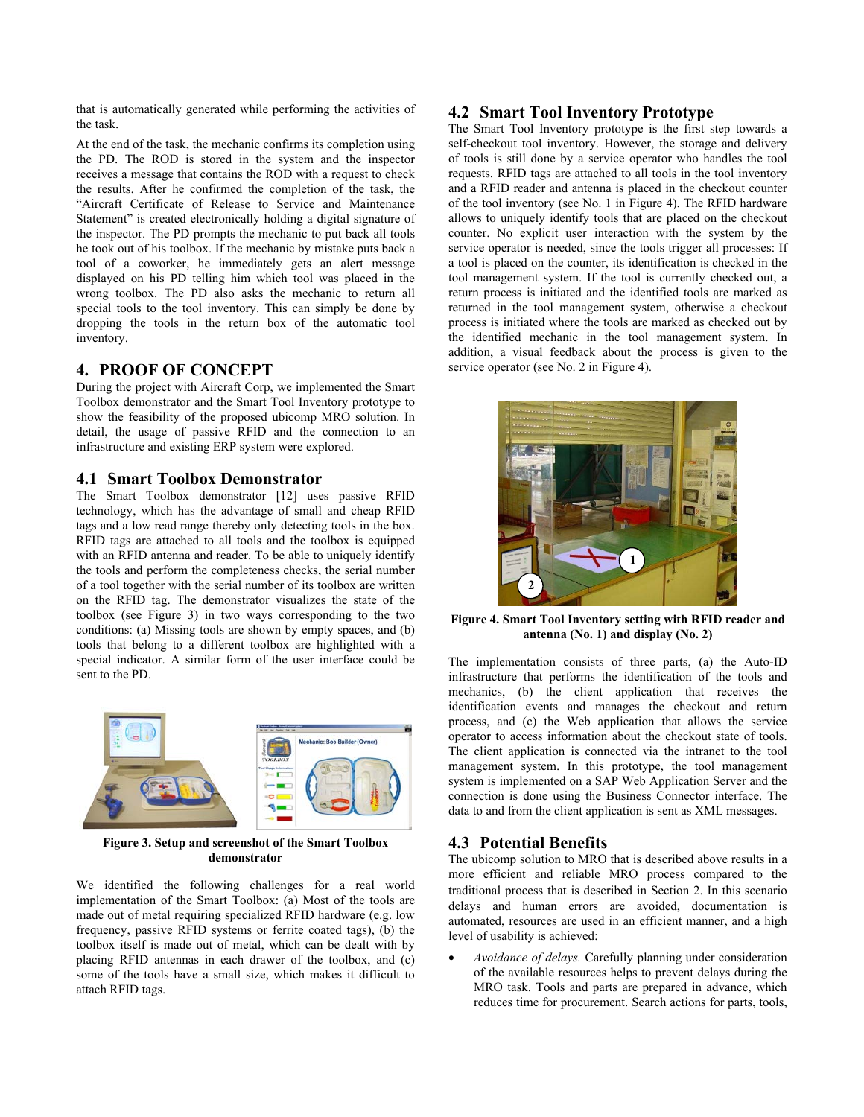that is automatically generated while performing the activities of the task.

At the end of the task, the mechanic confirms its completion using the PD. The ROD is stored in the system and the inspector receives a message that contains the ROD with a request to check the results. After he confirmed the completion of the task, the "Aircraft Certificate of Release to Service and Maintenance Statement" is created electronically holding a digital signature of the inspector. The PD prompts the mechanic to put back all tools he took out of his toolbox. If the mechanic by mistake puts back a tool of a coworker, he immediately gets an alert message displayed on his PD telling him which tool was placed in the wrong toolbox. The PD also asks the mechanic to return all special tools to the tool inventory. This can simply be done by dropping the tools in the return box of the automatic tool inventory.

# **4. PROOF OF CONCEPT**

During the project with Aircraft Corp, we implemented the Smart Toolbox demonstrator and the Smart Tool Inventory prototype to show the feasibility of the proposed ubicomp MRO solution. In detail, the usage of passive RFID and the connection to an infrastructure and existing ERP system were explored.

#### **4.1 Smart Toolbox Demonstrator**

The Smart Toolbox demonstrator [12] uses passive RFID technology, which has the advantage of small and cheap RFID tags and a low read range thereby only detecting tools in the box. RFID tags are attached to all tools and the toolbox is equipped with an RFID antenna and reader. To be able to uniquely identify the tools and perform the completeness checks, the serial number of a tool together with the serial number of its toolbox are written on the RFID tag. The demonstrator visualizes the state of the toolbox (see Figure 3) in two ways corresponding to the two conditions: (a) Missing tools are shown by empty spaces, and (b) tools that belong to a different toolbox are highlighted with a special indicator. A similar form of the user interface could be sent to the PD.



**Figure 3. Setup and screenshot of the Smart Toolbox demonstrator** 

We identified the following challenges for a real world implementation of the Smart Toolbox: (a) Most of the tools are made out of metal requiring specialized RFID hardware (e.g. low frequency, passive RFID systems or ferrite coated tags), (b) the toolbox itself is made out of metal, which can be dealt with by placing RFID antennas in each drawer of the toolbox, and (c) some of the tools have a small size, which makes it difficult to attach RFID tags.

#### **4.2 Smart Tool Inventory Prototype**

The Smart Tool Inventory prototype is the first step towards a self-checkout tool inventory. However, the storage and delivery of tools is still done by a service operator who handles the tool requests. RFID tags are attached to all tools in the tool inventory and a RFID reader and antenna is placed in the checkout counter of the tool inventory (see No. 1 in Figure 4). The RFID hardware allows to uniquely identify tools that are placed on the checkout counter. No explicit user interaction with the system by the service operator is needed, since the tools trigger all processes: If a tool is placed on the counter, its identification is checked in the tool management system. If the tool is currently checked out, a return process is initiated and the identified tools are marked as returned in the tool management system, otherwise a checkout process is initiated where the tools are marked as checked out by the identified mechanic in the tool management system. In addition, a visual feedback about the process is given to the service operator (see No. 2 in Figure 4).



**Figure 4. Smart Tool Inventory setting with RFID reader and antenna (No. 1) and display (No. 2)** 

The implementation consists of three parts, (a) the Auto-ID infrastructure that performs the identification of the tools and mechanics, (b) the client application that receives the identification events and manages the checkout and return process, and (c) the Web application that allows the service operator to access information about the checkout state of tools. The client application is connected via the intranet to the tool management system. In this prototype, the tool management system is implemented on a SAP Web Application Server and the connection is done using the Business Connector interface. The data to and from the client application is sent as XML messages.

#### **4.3 Potential Benefits**

The ubicomp solution to MRO that is described above results in a more efficient and reliable MRO process compared to the traditional process that is described in Section 2. In this scenario delays and human errors are avoided, documentation is automated, resources are used in an efficient manner, and a high level of usability is achieved:

• *Avoidance of delays.* Carefully planning under consideration of the available resources helps to prevent delays during the MRO task. Tools and parts are prepared in advance, which reduces time for procurement. Search actions for parts, tools,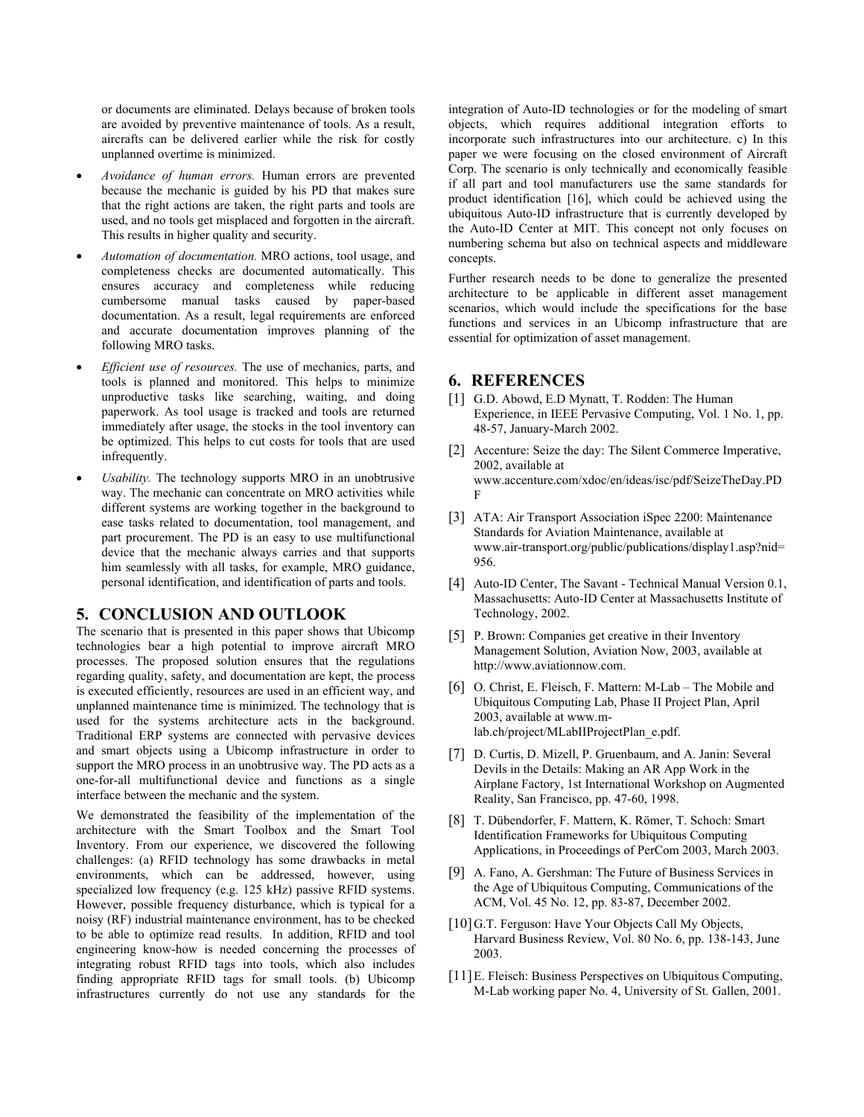or documents are eliminated. Delays because of broken tools are avoided by preventive maintenance of tools. As a result, aircrafts can be delivered earlier while the risk for costly unplanned overtime is minimized.

- *Avoidance of human errors.* Human errors are prevented because the mechanic is guided by his PD that makes sure that the right actions are taken, the right parts and tools are used, and no tools get misplaced and forgotten in the aircraft. This results in higher quality and security.
- *Automation of documentation.* MRO actions, tool usage, and completeness checks are documented automatically. This ensures accuracy and completeness while reducing cumbersome manual tasks caused by paper-based documentation. As a result, legal requirements are enforced and accurate documentation improves planning of the following MRO tasks.
- *Efficient use of resources.* The use of mechanics, parts, and tools is planned and monitored. This helps to minimize unproductive tasks like searching, waiting, and doing paperwork. As tool usage is tracked and tools are returned immediately after usage, the stocks in the tool inventory can be optimized. This helps to cut costs for tools that are used infrequently.
- *Usability.* The technology supports MRO in an unobtrusive way. The mechanic can concentrate on MRO activities while different systems are working together in the background to ease tasks related to documentation, tool management, and part procurement. The PD is an easy to use multifunctional device that the mechanic always carries and that supports him seamlessly with all tasks, for example, MRO guidance, personal identification, and identification of parts and tools.

# **5. CONCLUSION AND OUTLOOK**

The scenario that is presented in this paper shows that Ubicomp technologies bear a high potential to improve aircraft MRO processes. The proposed solution ensures that the regulations regarding quality, safety, and documentation are kept, the process is executed efficiently, resources are used in an efficient way, and unplanned maintenance time is minimized. The technology that is used for the systems architecture acts in the background. Traditional ERP systems are connected with pervasive devices and smart objects using a Ubicomp infrastructure in order to support the MRO process in an unobtrusive way. The PD acts as a one-for-all multifunctional device and functions as a single interface between the mechanic and the system.

We demonstrated the feasibility of the implementation of the architecture with the Smart Toolbox and the Smart Tool Inventory. From our experience, we discovered the following challenges: (a) RFID technology has some drawbacks in metal environments, which can be addressed, however, using specialized low frequency (e.g. 125 kHz) passive RFID systems. However, possible frequency disturbance, which is typical for a noisy (RF) industrial maintenance environment, has to be checked to be able to optimize read results. In addition, RFID and tool engineering know-how is needed concerning the processes of integrating robust RFID tags into tools, which also includes finding appropriate RFID tags for small tools. (b) Ubicomp infrastructures currently do not use any standards for the

integration of Auto-ID technologies or for the modeling of smart objects, which requires additional integration efforts to incorporate such infrastructures into our architecture. c) In this paper we were focusing on the closed environment of Aircraft Corp. The scenario is only technically and economically feasible if all part and tool manufacturers use the same standards for product identification [16], which could be achieved using the ubiquitous Auto-ID infrastructure that is currently developed by the Auto-ID Center at MIT. This concept not only focuses on numbering schema but also on technical aspects and middleware concepts.

Further research needs to be done to generalize the presented architecture to be applicable in different asset management scenarios, which would include the specifications for the base functions and services in an Ubicomp infrastructure that are essential for optimization of asset management.

# **6. REFERENCES**

- [1] G.D. Abowd, E.D Mynatt, T. Rodden: The Human Experience, in IEEE Pervasive Computing, Vol. 1 No. 1, pp. 48-57, January-March 2002.
- [2] Accenture: Seize the day: The Silent Commerce Imperative, 2002, available at www.accenture.com/xdoc/en/ideas/isc/pdf/SeizeTheDay.PD F
- [3] ATA: Air Transport Association iSpec 2200: Maintenance Standards for Aviation Maintenance, available at www.air-transport.org/public/publications/display1.asp?nid= 956.
- [4] Auto-ID Center, The Savant Technical Manual Version 0.1, Massachusetts: Auto-ID Center at Massachusetts Institute of Technology, 2002.
- [5] P. Brown: Companies get creative in their Inventory Management Solution, Aviation Now, 2003, available at http://www.aviationnow.com.
- [6] O. Christ, E. Fleisch, F. Mattern: M-Lab The Mobile and Ubiquitous Computing Lab, Phase II Project Plan, April 2003, available at www.mlab.ch/project/MLabIIProjectPlan\_e.pdf.
- [7] D. Curtis, D. Mizell, P. Gruenbaum, and A. Janin: Several Devils in the Details: Making an AR App Work in the Airplane Factory, 1st International Workshop on Augmented Reality, San Francisco, pp. 47-60, 1998.
- [8] T. Dübendorfer, F. Mattern, K. Römer, T. Schoch: Smart Identification Frameworks for Ubiquitous Computing Applications, in Proceedings of PerCom 2003, March 2003.
- [9] A. Fano, A. Gershman: The Future of Business Services in the Age of Ubiquitous Computing, Communications of the ACM, Vol. 45 No. 12, pp. 83-87, December 2002.
- [10] G.T. Ferguson: Have Your Objects Call My Objects, Harvard Business Review, Vol. 80 No. 6, pp. 138-143, June 2003.
- [11] E. Fleisch: Business Perspectives on Ubiquitous Computing, M-Lab working paper No. 4, University of St. Gallen, 2001.